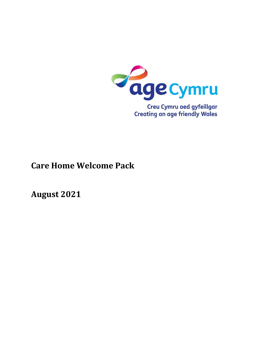

# **Care Home Welcome Pack**

**August 2021**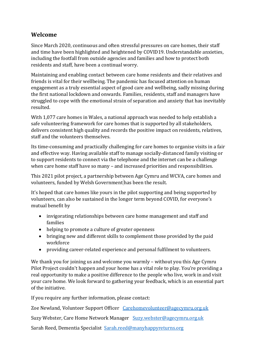#### **Welcome**

Since March 2020, continuous and often stressful pressures on care homes, their staff and time have been highlighted and heightened by COVID19. Understandable anxieties, including the footfall from outside agencies and families and how to protect both residents and staff, have been a continual worry.

Maintaining and enabling contact between care home residents and their relatives and friends is vital for their wellbeing. The pandemic has focused attention on human engagement as a truly essential aspect of good care and wellbeing, sadly missing during the first national lockdown and onwards. Families, residents, staff and managers have struggled to cope with the emotional strain of separation and anxiety that has inevitably resulted.

With 1,077 care homes in Wales, a national approach was needed to help establish a safe volunteering framework for care homes that is supported by all stakeholders, delivers consistent high quality and records the positive impact on residents, relatives, staff and the volunteers themselves.

Its time-consuming and practically challenging for care homes to organise visits in a fair and effective way. Having available staff to manage socially-distanced family visiting or to support residents to connect via the telephone and the internet can be a challenge when care home staff have so many – and increased priorities and responsibilities.

This 2021 pilot project, a partnership between Age Cymru and WCVA, care homes and volunteers, funded by Welsh Government has been the result.

It's hoped that care homes like yours in the pilot supporting and being supported by volunteers, can also be sustained in the longer term beyond COVID, for everyone's mutual benefit by

- invigorating relationships between care home management and staff and families
- helping to promote a culture of greater openness
- bringing new and different skills to complement those provided by the paid workforce
- providing career-related experience and personal fulfilment to volunteers.

We thank you for joining us and welcome you warmly – without you this Age Cymru Pilot Project couldn't happen and your home has a vital role to play. You're providing a real opportunity to make a positive difference to the people who live, work in and visit your care home. We look forward to gathering your feedback, which is an essential part of the initiative.

If you require any further information, please contact:

Zoe Newland, Volunteer Support Officer [Carehomevolunteer@agecymru.org.uk](mailto:Carehomevolunteer@agecymru.org.uk)

Suzy Webster, Care Home Network Manager [Suzy.webster@agecymru.org.uk](mailto:Suzy.webster@agecymru.org.uk)

Sarah Reed, Dementia Specialist [Sarah.reed@manyhappyreturns.org](mailto:Sarah.reed@manyhappyreturns.org)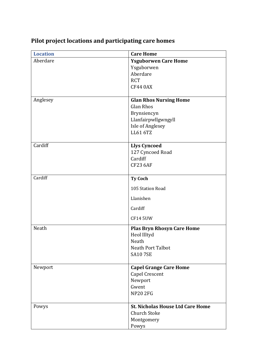| <b>Location</b> | <b>Care Home</b>                        |
|-----------------|-----------------------------------------|
| Aberdare        | <b>Ysguborwen Care Home</b>             |
|                 | Ysguborwen                              |
|                 | Aberdare                                |
|                 | <b>RCT</b>                              |
|                 | <b>CF44 0AX</b>                         |
|                 |                                         |
| Anglesey        | <b>Glan Rhos Nursing Home</b>           |
|                 | <b>Glan Rhos</b>                        |
|                 | Brynsiencyn                             |
|                 | Llanfairpwllgwngyll                     |
|                 | Isle of Anglesey                        |
|                 | LL61 6TZ                                |
|                 |                                         |
| Cardiff         | <b>Llys Cyncoed</b>                     |
|                 | 127 Cyncoed Road                        |
|                 | Cardiff                                 |
|                 | <b>CF23 6AF</b>                         |
|                 |                                         |
| Cardiff         | <b>Ty Coch</b>                          |
|                 | 105 Station Road                        |
|                 | Llanishen                               |
|                 | Cardiff                                 |
|                 | <b>CF14 5UW</b>                         |
| Neath           | <b>Plas Bryn Rhosyn Care Home</b>       |
|                 | Heol Illtyd                             |
|                 | Neath                                   |
|                 | <b>Neath Port Talbot</b>                |
|                 | <b>SA10 7SE</b>                         |
|                 |                                         |
| Newport         | <b>Capel Grange Care Home</b>           |
|                 | <b>Capel Crescent</b>                   |
|                 | Newport                                 |
|                 | Gwent                                   |
|                 | <b>NP20 2FG</b>                         |
|                 |                                         |
| Powys           | <b>St. Nicholas House Ltd Care Home</b> |
|                 | <b>Church Stoke</b>                     |
|                 | Montgomery                              |
|                 | Powys                                   |

## **Pilot project locations and participating care homes**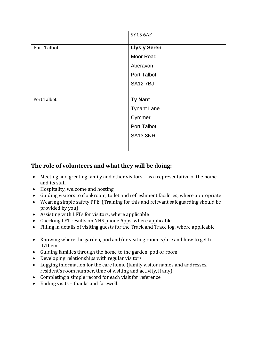|             | <b>SY15 6AF</b>     |
|-------------|---------------------|
| Port Talbot | <b>Llys y Seren</b> |
|             | Moor Road           |
|             | Aberavon            |
|             | <b>Port Talbot</b>  |
|             | <b>SA127BJ</b>      |
|             |                     |
| Port Talbot | <b>Ty Nant</b>      |
|             | <b>Tynant Lane</b>  |
|             | Cymmer              |
|             | <b>Port Talbot</b>  |
|             | <b>SA13 3NR</b>     |
|             |                     |

## **The role of volunteers and what they will be doing:**

- Meeting and greeting family and other visitors as a representative of the home and its staff
- Hospitality, welcome and hosting
- Guiding visitors to cloakroom, toilet and refreshment facilities, where appropriate
- Wearing simple safety PPE. (Training for this and relevant safeguarding should be provided by you)
- Assisting with LFTs for visitors, where applicable
- Checking LFT results on NHS phone Apps, where applicable
- Filling in details of visiting guests for the Track and Trace log, where applicable
- Knowing where the garden, pod and/or visiting room is/are and how to get to it/them
- Guiding families through the home to the garden, pod or room
- Developing relationships with regular visitors
- Logging information for the care home (family visitor names and addresses, resident's room number, time of visiting and activity, if any)
- Completing a simple record for each visit for reference
- Ending visits thanks and farewell.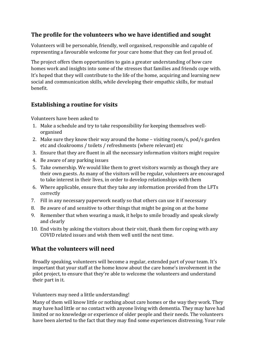### **The profile for the volunteers who we have identified and sought**

Volunteers will be personable, friendly, well organised, responsible and capable of representing a favourable welcome for your care home that they can feel proud of.

The project offers them opportunities to gain a greater understanding of how care homes work and insights into some of the stresses that families and friends cope with. It's hoped that they will contribute to the life of the home, acquiring and learning new social and communication skills, while developing their empathic skills, for mutual benefit.

### **Establishing a routine for visits**

Volunteers have been asked to

- 1. Make a schedule and try to take responsibility for keeping themselves wellorganised
- 2. Make sure they know their way around the home visiting room/s, pod/s garden etc and cloakrooms / toilets / refreshments (where relevant) etc
- 3. Ensure that they are fluent in all the necessary information visitors might require
- 4. Be aware of any parking issues
- 5. Take ownership. We would like them to greet visitors warmly as though they are their own guests. As many of the visitors will be regular, volunteers are encouraged to take interest in their lives, in order to develop relationships with them
- 6. Where applicable, ensure that they take any information provided from the LFTs correctly
- 7. Fill in any necessary paperwork neatly so that others can use it if necessary
- 8. Be aware of and sensitive to other things that might be going on at the home
- 9. Remember that when wearing a mask, it helps to smile broadly and speak slowly and clearly
- 10. End visits by asking the visitors about their visit, thank them for coping with any COVID related issues and wish them well until the next time.

#### **What the volunteers will need**

Broadly speaking, volunteers will become a regular, extended part of your team. It's important that your staff at the home know about the care home's involvement in the pilot project, to ensure that they're able to welcome the volunteers and understand their part in it.

#### Volunteers may need a little understanding!

Many of them will know little or nothing about care homes or the way they work. They may have had little or no contact with anyone living with dementia. They may have had limited or no knowledge or experience of older people and their needs. The volunteers have been alerted to the fact that they may find some experiences distressing. Your role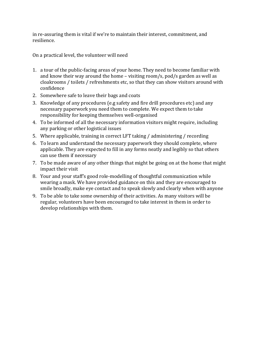in re-assuring them is vital if we're to maintain their interest, commitment, and resilience.

On a practical level, the volunteer will need

- 1. a tour of the public-facing areas of your home. They need to become familiar with and know their way around the home – visiting room/s, pod/s garden as well as cloakrooms / toilets / refreshments etc, so that they can show visitors around with confidence
- 2. Somewhere safe to leave their bags and coats
- 3. Knowledge of any procedures (e.g safety and fire drill procedures etc) and any necessary paperwork you need them to complete. We expect them to take responsibility for keeping themselves well-organised
- 4. To be informed of all the necessary information visitors might require, including any parking or other logistical issues
- 5. Where applicable, training in correct LFT taking / administering / recording
- 6. To learn and understand the necessary paperwork they should complete, where applicable. They are expected to fill in any forms neatly and legibly so that others can use them if necessary
- 7. To be made aware of any other things that might be going on at the home that might impact their visit
- 8. Your and your staff's good role-modelling of thoughtful communication while wearing a mask. We have provided guidance on this and they are encouraged to smile broadly, make eye contact and to speak slowly and clearly when with anyone
- 9. To be able to take some ownership of their activities. As many visitors will be regular, volunteers have been encouraged to take interest in them in order to develop relationships with them.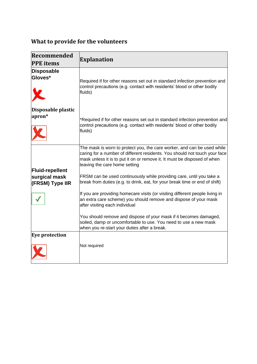## **What to provide for the volunteers**

| Recommended<br><b>PPE</b> items  | <b>Explanation</b>                                                                                                                                                                                                                                                 |
|----------------------------------|--------------------------------------------------------------------------------------------------------------------------------------------------------------------------------------------------------------------------------------------------------------------|
| <b>Disposable</b><br>Gloves*     | Required if for other reasons set out in standard infection prevention and<br>control precautions (e.g. contact with residents' blood or other bodily<br>fluids)                                                                                                   |
| Disposable plastic<br>apron*     | *Required if for other reasons set out in standard infection prevention and<br>control precautions (e.g. contact with residents' blood or other bodily<br>fluids)                                                                                                  |
| <b>Fluid-repellent</b>           | The mask is worn to protect you, the care worker, and can be used while<br>caring for a number of different residents. You should not touch your face<br>mask unless it is to put it on or remove it. It must be disposed of when<br>leaving the care home setting |
| surgical mask<br>(FRSM) Type IIR | FRSM can be used continuously while providing care, until you take a<br>break from duties (e.g. to drink, eat, for your break time or end of shift)                                                                                                                |
|                                  | If you are providing homecare visits (or visiting different people living in<br>an extra care scheme) you should remove and dispose of your mask<br>after visiting each individual                                                                                 |
|                                  | You should remove and dispose of your mask if it becomes damaged,<br>soiled, damp or uncomfortable to use. You need to use a new mask<br>when you re-start your duties after a break.                                                                              |
| <b>Eye protection</b>            |                                                                                                                                                                                                                                                                    |
|                                  | Not required                                                                                                                                                                                                                                                       |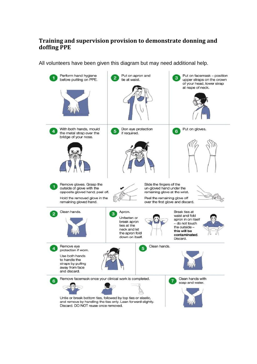#### **Training and supervision provision to demonstrate donning and doffing PPE**

All volunteers have been given this diagram but may need additional help.

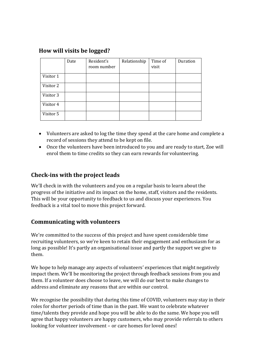| How will visits be logged? |  |  |  |  |  |
|----------------------------|--|--|--|--|--|
|----------------------------|--|--|--|--|--|

|           | Date | Resident's<br>room number | Relationship | Time of<br>visit | Duration |
|-----------|------|---------------------------|--------------|------------------|----------|
| Visitor 1 |      |                           |              |                  |          |
| Visitor 2 |      |                           |              |                  |          |
| Visitor 3 |      |                           |              |                  |          |
| Visitor 4 |      |                           |              |                  |          |
| Visitor 5 |      |                           |              |                  |          |

- Volunteers are asked to log the time they spend at the care home and complete a record of sessions they attend to be kept on file.
- Once the volunteers have been introduced to you and are ready to start, Zoe will enrol them to time credits so they can earn rewards for volunteering.

### **Check-ins with the project leads**

We'll check in with the volunteers and you on a regular basis to learn about the progress of the initiative and its impact on the home, staff, visitors and the residents. This will be your opportunity to feedback to us and discuss your experiences. You feedback is a vital tool to move this project forward.

#### **Communicating with volunteers**

We're committed to the success of this project and have spent considerable time recruiting volunteers, so we're keen to retain their engagement and enthusiasm for as long as possible! It's partly an organisational issue and partly the support we give to them.

We hope to help manage any aspects of volunteers' experiences that might negatively impact them. We'll be monitoring the project through feedback sessions from you and them. If a volunteer does choose to leave, we will do our best to make changes to address and eliminate any reasons that are within our control.

We recognise the possibility that during this time of COVID, volunteers may stay in their roles for shorter periods of time than in the past. We want to celebrate whatever time/talents they provide and hope you will be able to do the same. We hope you will agree that happy volunteers are happy customers, who may provide referrals to others looking for volunteer involvement – or care homes for loved ones!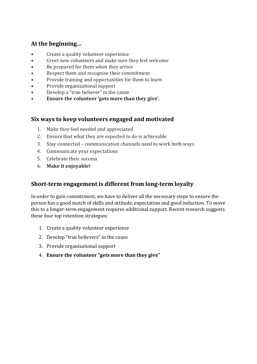### **At the beginning…**

- Create a quality volunteer experience
- Greet new volunteers and make sure they feel welcome
- Be prepared for them when they arrive
- Respect them and recognise their commitment
- Provide training and opportunities for them to learn
- Provide organisational support
- Develop a "true believer" in the cause
- **Ensure the volunteer 'gets more than they give'.**

#### **Six ways to keep volunteers engaged and motivated**

- 1. Make they feel needed and appreciated
- 2. Ensure that what they are expected to do is achievable
- 3. Stay connected communication channels need to work both ways
- 4. Communicate your expectations
- 5. Celebrate their success
- 6. **Make it enjoyable!**

## **Short-term engagement is different from long-term loyalty**

In order to gain commitment, we have to deliver all the necessary steps to ensure the person has a good match of skills and attitude, expectation and good induction. To move this to a longer-term engagement requires additional support. Recent research suggests these four top retention strategies:

- 1. Create a quality volunteer experience
- 2. Develop "true believers" in the cause
- 3. Provide organisational support
- 4. **Ensure the volunteer "gets more than they give"**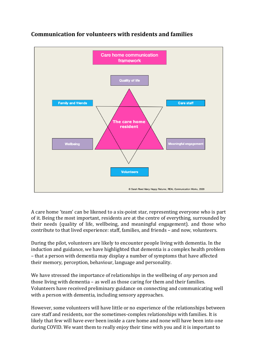

## **Communication for volunteers with residents and families**

A care home 'team' can be likened to a six-point star, representing everyone who is part of it. Being the most important, residents are at the centre of everything, surrounded by their needs (quality of life, wellbeing, and meaningful engagement). and those who contribute to that lived experience: staff, families, and friends – and now, volunteers.

During the pilot, volunteers are likely to encounter people living with dementia. In the induction and guidance, we have highlighted that dementia is a complex health problem – that a person with dementia may display a number of symptoms that have affected their memory, perception, behaviour, language and personality.

We have stressed the importance of relationships in the wellbeing of *any* person and those living with dementia – as well as those caring for them and their families. Volunteers have received preliminary guidance on connecting and communicating well with a person with dementia, including sensory approaches.

However, some volunteers will have little or no experience of the relationships between care staff and residents, nor the sometimes-complex relationships with families. It is likely that few will have ever been inside a care home and none will have been into one during COVID. We want them to really enjoy their time with you and it is important to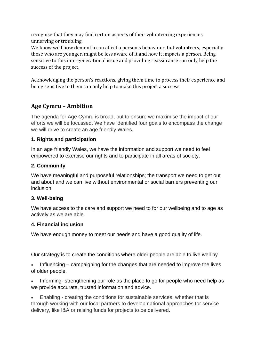recognise that they may find certain aspects of their volunteering experiences unnerving or troubling.

We know well how dementia can affect a person's behaviour, but volunteers, especially those who are younger, might be less aware of it and how it impacts a person. Being sensitive to this intergenerational issue and providing reassurance can only help the success of the project.

Acknowledging the person's reactions, giving them time to process their experience and being sensitive to them can only help to make this project a success.

## **Age Cymru – Ambition**

The agenda for Age Cymru is broad, but to ensure we maximise the impact of our efforts we will be focussed. We have identified four goals to encompass the change we will drive to create an age friendly Wales.

#### **1. Rights and participation**

In an age friendly Wales, we have the information and support we need to feel empowered to exercise our rights and to participate in all areas of society.

#### **2. Community**

We have meaningful and purposeful relationships; the transport we need to get out and about and we can live without environmental or social barriers preventing our inclusion.

#### **3. Well-being**

We have access to the care and support we need to for our wellbeing and to age as actively as we are able.

#### **4. Financial inclusion**

We have enough money to meet our needs and have a good quality of life.

Our strategy is to create the conditions where older people are able to live well by

Influencing – campaigning for the changes that are needed to improve the lives of older people.

• Informing- strengthening our role as the place to go for people who need help as we provide accurate, trusted information and advice.

• Enabling - creating the conditions for sustainable services, whether that is through working with our local partners to develop national approaches for service delivery, like I&A or raising funds for projects to be delivered.